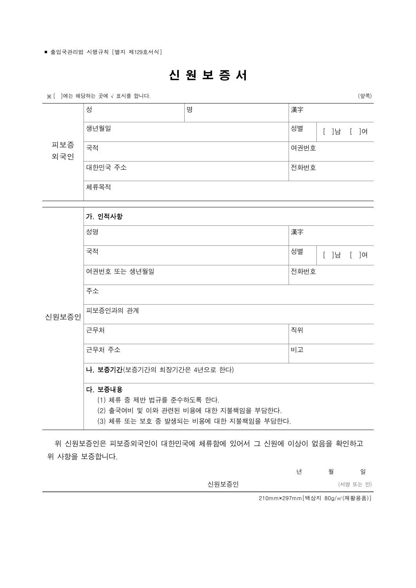## 신 원 보 증 서

※ [ ]에는 해당하는 곳에 √ 표시를 합니다. (안쪽)

| 피보증<br>외국인 | 성        | 명 | 漢字   |          |  |  |
|------------|----------|---|------|----------|--|--|
|            | 생년월일     |   | 성별   | ]남<br>]여 |  |  |
|            | 국적       |   | 여권번호 |          |  |  |
|            | 대한민국 주소  |   | 전화번호 |          |  |  |
|            | 체류목적     |   |      |          |  |  |
|            |          |   |      |          |  |  |
|            | 가. 인적사항  |   |      |          |  |  |
|            | 성명<br>漢字 |   |      |          |  |  |

| 국적           | 성별    | l남 | 1여 |
|--------------|-------|----|----|
| 여권번호 또는 생년월일 | ⊩전화번호 |    |    |

신원보증인 피보증인과의 관계

주소

|--|--|--|

| 근무처     | 직위 |
|---------|----|
| │근무처 주소 | 비고 |

나. 보증기간(보증기간의 최장기간은 4년으로 한다)

## 다. 보증내용

(1) 체류 중 제반 법규를 준수하도록 한다.

(2) 출국여비 및 이와 관련된 비용에 대한 지불책임을 부담한다.

(3) 체류 또는 보호 중 발생되는 비용에 대한 지불책임을 부담한다.

 위 신원보증인은 피보증외국인이 대한민국에 체류함에 있어서 그 신원에 이상이 없음을 확인하고 위 사항을 보증합니다.

년 월 일장

| 신원보증인 | (서명 또는 인) |  |  |
|-------|-----------|--|--|
|-------|-----------|--|--|

210mm×297mm[백상지 80g/㎡(재활용품)]

<sup>■</sup> 출입국관리법 시행규칙 [별지 제129호서식]